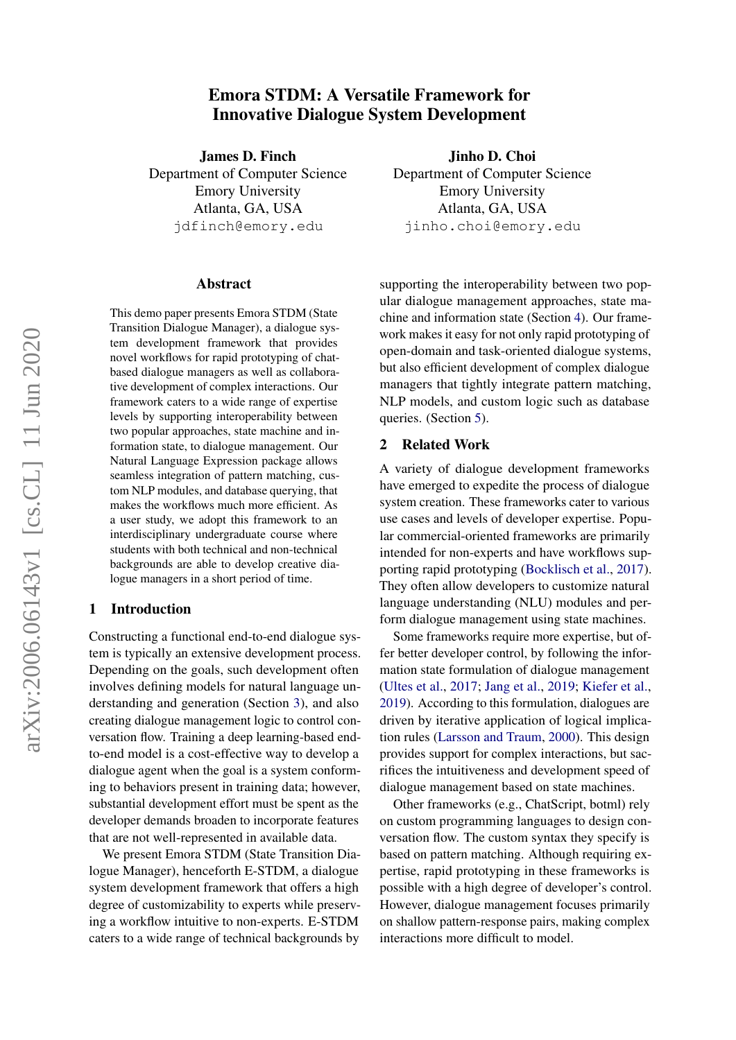# Emora STDM: A Versatile Framework for Innovative Dialogue System Development

<span id="page-0-0"></span>James D. Finch Department of Computer Science Emory University Atlanta, GA, USA jdfinch@emory.edu

#### Abstract

This demo paper presents Emora STDM (State Transition Dialogue Manager), a dialogue system development framework that provides novel workflows for rapid prototyping of chatbased dialogue managers as well as collaborative development of complex interactions. Our framework caters to a wide range of expertise levels by supporting interoperability between two popular approaches, state machine and information state, to dialogue management. Our Natural Language Expression package allows seamless integration of pattern matching, custom NLP modules, and database querying, that makes the workflows much more efficient. As a user study, we adopt this framework to an interdisciplinary undergraduate course where students with both technical and non-technical backgrounds are able to develop creative dialogue managers in a short period of time.

#### 1 Introduction

Constructing a functional end-to-end dialogue system is typically an extensive development process. Depending on the goals, such development often involves defining models for natural language understanding and generation (Section [3\)](#page-1-0), and also creating dialogue management logic to control conversation flow. Training a deep learning-based endto-end model is a cost-effective way to develop a dialogue agent when the goal is a system conforming to behaviors present in training data; however, substantial development effort must be spent as the developer demands broaden to incorporate features that are not well-represented in available data.

We present Emora STDM (State Transition Dialogue Manager), henceforth E-STDM, a dialogue system development framework that offers a high degree of customizability to experts while preserving a workflow intuitive to non-experts. E-STDM caters to a wide range of technical backgrounds by

Jinho D. Choi Department of Computer Science Emory University Atlanta, GA, USA jinho.choi@emory.edu

supporting the interoperability between two popular dialogue management approaches, state machine and information state (Section [4\)](#page-2-0). Our framework makes it easy for not only rapid prototyping of open-domain and task-oriented dialogue systems, but also efficient development of complex dialogue managers that tightly integrate pattern matching, NLP models, and custom logic such as database queries. (Section [5\)](#page-3-0).

## 2 Related Work

A variety of dialogue development frameworks have emerged to expedite the process of dialogue system creation. These frameworks cater to various use cases and levels of developer expertise. Popular commercial-oriented frameworks are primarily intended for non-experts and have workflows supporting rapid prototyping [\(Bocklisch et al.,](#page-3-1) [2017\)](#page-3-1). They often allow developers to customize natural language understanding (NLU) modules and perform dialogue management using state machines.

Some frameworks require more expertise, but offer better developer control, by following the information state formulation of dialogue management [\(Ultes et al.,](#page-3-2) [2017;](#page-3-2) [Jang et al.,](#page-3-3) [2019;](#page-3-3) [Kiefer et al.,](#page-3-4) [2019\)](#page-3-4). According to this formulation, dialogues are driven by iterative application of logical implication rules [\(Larsson and Traum,](#page-3-5) [2000\)](#page-3-5). This design provides support for complex interactions, but sacrifices the intuitiveness and development speed of dialogue management based on state machines.

Other frameworks (e.g., ChatScript, botml) rely on custom programming languages to design conversation flow. The custom syntax they specify is based on pattern matching. Although requiring expertise, rapid prototyping in these frameworks is possible with a high degree of developer's control. However, dialogue management focuses primarily on shallow pattern-response pairs, making complex interactions more difficult to model.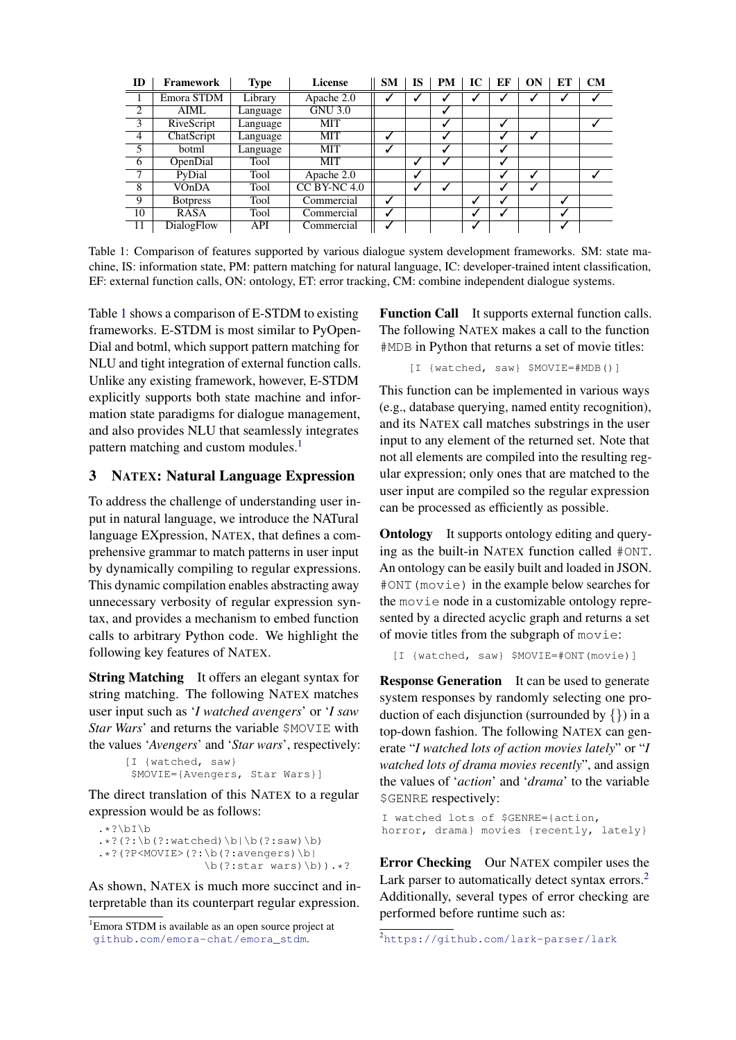<span id="page-1-1"></span>

| ID             | Framework       | Type     | License        | <b>SM</b> | IS | <b>PM</b> | IC | ЕF | <b>ON</b> | ET | <b>CM</b> |
|----------------|-----------------|----------|----------------|-----------|----|-----------|----|----|-----------|----|-----------|
|                | Emora STDM      | Library  | Apache 2.0     |           |    |           |    |    |           |    |           |
| $\overline{2}$ | AIML            | Language | <b>GNU 3.0</b> |           |    |           |    |    |           |    |           |
| 3              | RiveScript      | Language | MIT            |           |    |           |    | ↵  |           |    |           |
| $\overline{4}$ | ChatScript      | Language | MIT            |           |    |           |    |    |           |    |           |
| 5              | botml           | Language | MIT            | √         |    |           |    | √  |           |    |           |
| $\overline{6}$ | OpenDial        | Tool     | MIT            |           | √  |           |    | √  |           |    |           |
| 7              | PyDial          | Tool     | Apache 2.0     |           | √  |           |    |    |           |    |           |
| 8              | VOnDA           | Tool     | $CC$ BY-NC 4.0 |           | ✔  |           |    | ↵  | ✓         |    |           |
| $\overline{9}$ | <b>Botpress</b> | Tool     | Commercial     | ↵         |    |           | √  |    |           |    |           |
| 10             | <b>RASA</b>     | Tool     | Commercial     |           |    |           | √  |    |           |    |           |
| 11             | DialogFlow      | API      | Commercial     |           |    |           |    |    |           |    |           |

Table 1: Comparison of features supported by various dialogue system development frameworks. SM: state machine, IS: information state, PM: pattern matching for natural language, IC: developer-trained intent classification, EF: external function calls, ON: ontology, ET: error tracking, CM: combine independent dialogue systems.

Table [1](#page-1-1) shows a comparison of E-STDM to existing frameworks. E-STDM is most similar to PyOpen-Dial and botml, which support pattern matching for NLU and tight integration of external function calls. Unlike any existing framework, however, E-STDM explicitly supports both state machine and information state paradigms for dialogue management, and also provides NLU that seamlessly integrates pattern matching and custom modules.<sup>[1](#page-0-0)</sup>

## <span id="page-1-0"></span>3 NATEX: Natural Language Expression

To address the challenge of understanding user input in natural language, we introduce the NATural language EXpression, NATEX, that defines a comprehensive grammar to match patterns in user input by dynamically compiling to regular expressions. This dynamic compilation enables abstracting away unnecessary verbosity of regular expression syntax, and provides a mechanism to embed function calls to arbitrary Python code. We highlight the following key features of NATEX.

**String Matching** It offers an elegant syntax for string matching. The following NATEX matches user input such as '*I watched avengers*' or '*I saw Star Wars*' and returns the variable \$MOVIE with the values '*Avengers*' and '*Star wars*', respectively:

```
[I {watched, saw}
$MOVIE={Avengers, Star Wars}]
```
The direct translation of this NATEX to a regular expression would be as follows:

```
.*?\bI\b
.*? (?:\b(?:watched)\b|\b(?:saw)\b)
.*?(?P<MOVIE>(?:\b(?:avengers)\b|
                \b(?:star \ wars) \b).*?
```
As shown, NATEX is much more succinct and interpretable than its counterpart regular expression.

Function Call It supports external function calls. The following NATEX makes a call to the function #MDB in Python that returns a set of movie titles:

[I {watched, saw} \$MOVIE=#MDB()]

This function can be implemented in various ways (e.g., database querying, named entity recognition), and its NATEX call matches substrings in the user input to any element of the returned set. Note that not all elements are compiled into the resulting regular expression; only ones that are matched to the user input are compiled so the regular expression can be processed as efficiently as possible.

**Ontology** It supports ontology editing and querying as the built-in NATEX function called #ONT. An ontology can be easily built and loaded in JSON. #ONT(movie) in the example below searches for the movie node in a customizable ontology represented by a directed acyclic graph and returns a set of movie titles from the subgraph of movie:

```
[I {watched, saw} $MOVIE=#ONT(movie)]
```
**Response Generation** It can be used to generate system responses by randomly selecting one production of each disjunction (surrounded by  $\{\}$ ) in a top-down fashion. The following NATEX can generate "*I watched lots of action movies lately*" or "*I watched lots of drama movies recently*", and assign the values of '*action*' and '*drama*' to the variable \$GENRE respectively:

```
I watched lots of $GENRE={action,
horror, drama} movies {recently, lately}
```
Error Checking Our NATEX compiler uses the Lark parser to automatically detect syntax errors.<sup>[2](#page-0-0)</sup> Additionally, several types of error checking are performed before runtime such as:

<sup>&</sup>lt;sup>1</sup>Emora STDM is available as an open source project at [github.com/emora-chat/emora\\_stdm](github.com/emora-chat/emora_stdm).

<sup>2</sup><https://github.com/lark-parser/lark>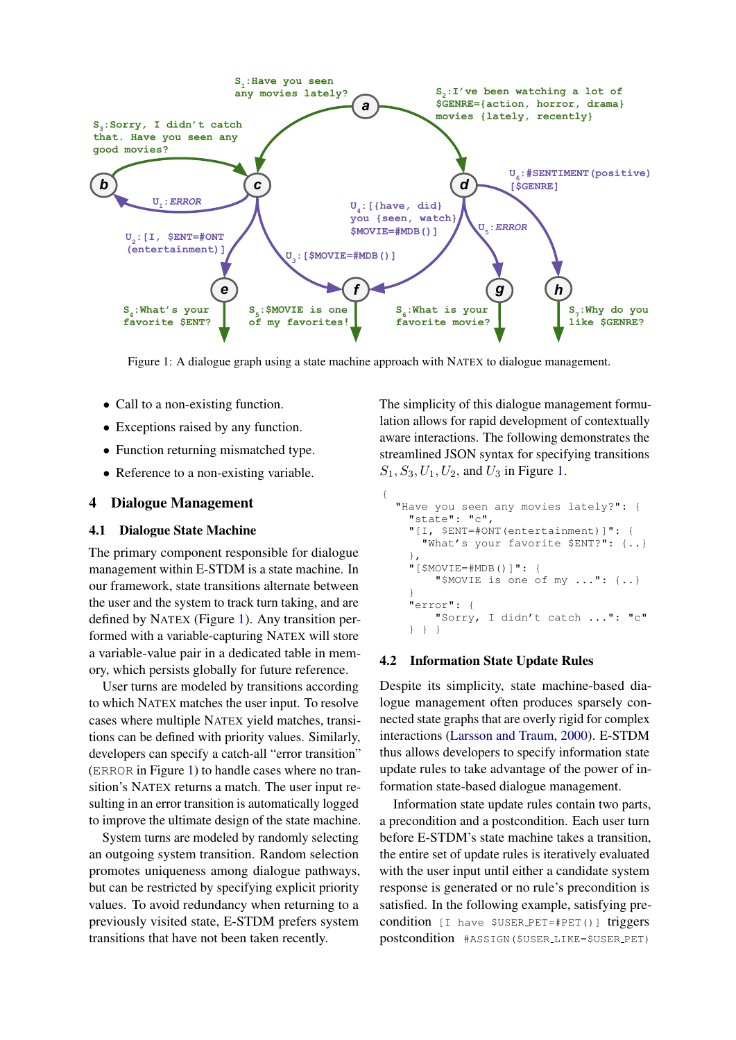<span id="page-2-1"></span>

Figure 1: A dialogue graph using a state machine approach with NATEX to dialogue management.

{

- Call to a non-existing function.
- Exceptions raised by any function.
- Function returning mismatched type.
- Reference to a non-existing variable.

## <span id="page-2-0"></span>4 Dialogue Management

#### 4.1 Dialogue State Machine

The primary component responsible for dialogue management within E-STDM is a state machine. In our framework, state transitions alternate between the user and the system to track turn taking, and are defined by NATEX (Figure [1\)](#page-2-1). Any transition performed with a variable-capturing NATEX will store a variable-value pair in a dedicated table in memory, which persists globally for future reference.

User turns are modeled by transitions according to which NATEX matches the user input. To resolve cases where multiple NATEX yield matches, transitions can be defined with priority values. Similarly, developers can specify a catch-all "error transition" (ERROR in Figure [1\)](#page-2-1) to handle cases where no transition's NATEX returns a match. The user input resulting in an error transition is automatically logged to improve the ultimate design of the state machine.

System turns are modeled by randomly selecting an outgoing system transition. Random selection promotes uniqueness among dialogue pathways, but can be restricted by specifying explicit priority values. To avoid redundancy when returning to a previously visited state, E-STDM prefers system transitions that have not been taken recently.

The simplicity of this dialogue management formulation allows for rapid development of contextually aware interactions. The following demonstrates the streamlined JSON syntax for specifying transitions  $S_1, S_3, U_1, U_2$ , and  $U_3$  in Figure [1.](#page-2-1)

```
"Have you seen any movies lately?": {
  "state": "c",
  "[I, $ENT=#ONT(entertainment)]": {
    "What's your favorite $ENT?": {..}
  },
  "[$MOVIE=#MDB()]": {
      "$MOVIE is one of my ...": {..}
  }
  "error": {
      "Sorry, I didn't catch ...": "c"
  } } }
```
## 4.2 Information State Update Rules

Despite its simplicity, state machine-based dialogue management often produces sparsely connected state graphs that are overly rigid for complex interactions [\(Larsson and Traum,](#page-3-5) [2000\)](#page-3-5). E-STDM thus allows developers to specify information state update rules to take advantage of the power of information state-based dialogue management.

Information state update rules contain two parts, a precondition and a postcondition. Each user turn before E-STDM's state machine takes a transition, the entire set of update rules is iteratively evaluated with the user input until either a candidate system response is generated or no rule's precondition is satisfied. In the following example, satisfying precondition [I have \$USER PET=#PET()] triggers postcondition #ASSIGN(\$USER LIKE=\$USER PET)